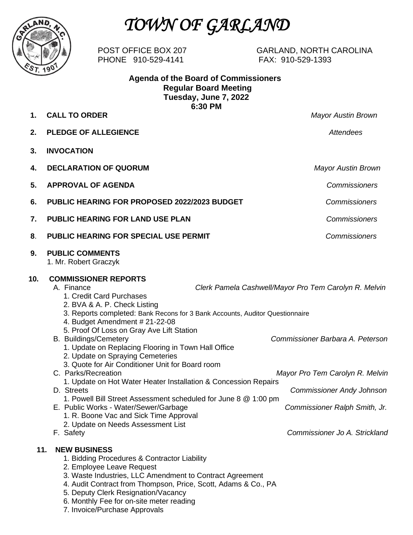

# *TOWN OF GARLAND*

PHONE 910-529-4141 FAX: 910-529-1393

POST OFFICE BOX 207 GARLAND, NORTH CAROLINA

 **Agenda of the Board of Commissioners Regular Board Meeting Tuesday, June 7, 2022 6:30 PM**

**1. CALL TO ORDER** *Mayor Austin Brown*

**2. PLEDGE OF ALLEGIENCE** *Attendees* **3. INVOCATION**  **4. DECLARATION OF QUORUM** *Mayor Austin Brown* **5. APPROVAL OF AGENDA** *Commissioners* **6. PUBLIC HEARING FOR PROPOSED 2022/2023 BUDGET** *Commissioners* **7. PUBLIC HEARING FOR LAND USE PLAN** *Commissioners* **8**. **PUBLIC HEARING FOR SPECIAL USE PERMIT** *Commissioners*  **9. PUBLIC COMMENTS** 1. Mr. Robert Graczyk **10. COMMISSIONER REPORTS** A. Finance *Clerk Pamela Cashwell/Mayor Pro Tem Carolyn R. Melvin* 1. Credit Card Purchases 2. BVA & A. P. Check Listing 3. Reports completed: Bank Recons for 3 Bank Accounts, Auditor Questionnaire 4. Budget Amendment # 21-22-08 5. Proof Of Loss on Gray Ave Lift Station B. Buildings/Cemetery *Commissioner Barbara A. Peterson* 1. Update on Replacing Flooring in Town Hall Office 2. Update on Spraying Cemeteries 3. Quote for Air Conditioner Unit for Board room C. Parks/Recreation *Mayor Pro Tem Carolyn R. Melvin* 1. Update on Hot Water Heater Installation & Concession Repairs D. Streets *Commissioner Andy Johnson* 1. Powell Bill Street Assessment scheduled for June 8 @ 1:00 pm E. Public Works - Water/Sewer/Garbage *Commissioner Ralph Smith, Jr.* 1. R. Boone Vac and Sick Time Approval 2. Update on Needs Assessment List<br>F. Safety **Commissioner Jo A. Strickland 11. NEW BUSINESS** 1. Bidding Procedures & Contractor Liability 2. Employee Leave Request 3. Waste Industries, LLC Amendment to Contract Agreement 4. Audit Contract from Thompson, Price, Scott, Adams & Co., PA

- 5. Deputy Clerk Resignation/Vacancy
- 6. Monthly Fee for on-site meter reading
- 7. Invoice/Purchase Approvals